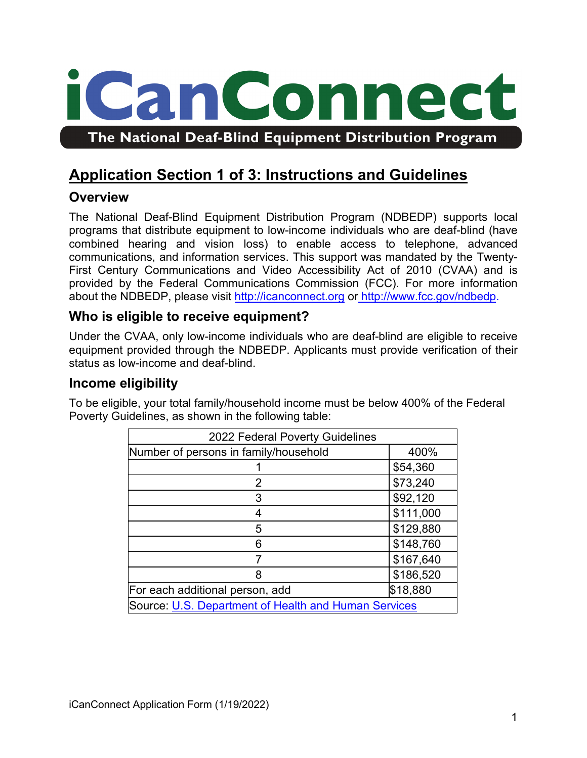

# **Application Section 1 of 3: Instructions and Guidelines**

# **Overview**

The National Deaf-Blind Equipment Distribution Program (NDBEDP) supports local programs that distribute equipment to low-income individuals who are deaf-blind (have combined hearing and vision loss) to enable access to telephone, advanced communications, and information services. This support was mandated by the Twenty-First Century Communications and Video Accessibility Act of 2010 (CVAA) and is provided by the Federal Communications Commission (FCC). For more information about the NDBEDP, please visit [http://icanconnect.org](http://icanconnect.org/) or [http://www.fcc.gov/ndbedp.](http://www.fcc.gov/ndbedp)

## **Who is eligible to receive equipment?**

Under the CVAA, only low-income individuals who are deaf-blind are eligible to receive equipment provided through the NDBEDP. Applicants must provide verification of their status as low-income and deaf-blind.

## **Income eligibility**

To be eligible, your total family/household income must be below 400% of the Federal Poverty Guidelines, as shown in the following table:

| 2022 Federal Poverty Guidelines                      |           |  |
|------------------------------------------------------|-----------|--|
| Number of persons in family/household                | 400%      |  |
|                                                      | \$54,360  |  |
| 2                                                    | \$73,240  |  |
| 3                                                    | \$92,120  |  |
|                                                      | \$111,000 |  |
| 5                                                    | \$129,880 |  |
| ิค                                                   | \$148,760 |  |
|                                                      | \$167,640 |  |
| 8                                                    | \$186,520 |  |
| For each additional person, add                      | \$18,880  |  |
| Source: U.S. Department of Health and Human Services |           |  |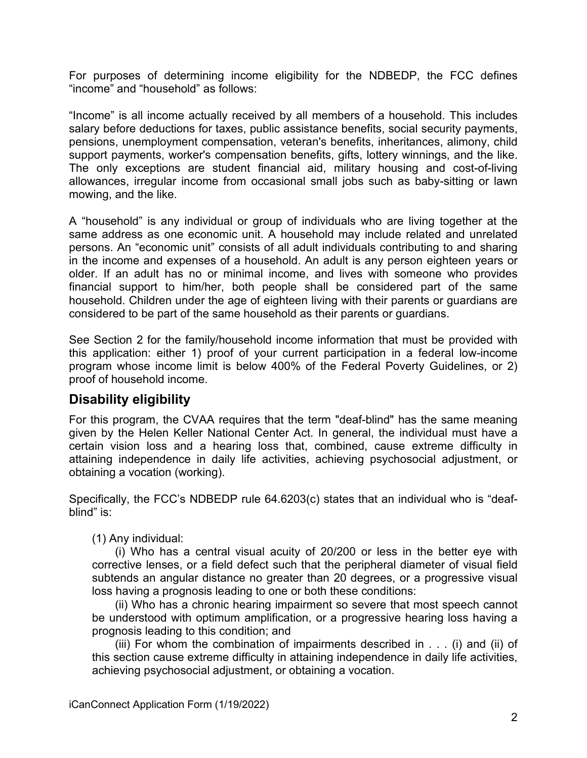For purposes of determining income eligibility for the NDBEDP, the FCC defines "income" and "household" as follows:

"Income" is all income actually received by all members of a household. This includes salary before deductions for taxes, public assistance benefits, social security payments, pensions, unemployment compensation, veteran's benefits, inheritances, alimony, child support payments, worker's compensation benefits, gifts, lottery winnings, and the like. The only exceptions are student financial aid, military housing and cost-of-living allowances, irregular income from occasional small jobs such as baby-sitting or lawn mowing, and the like.

A "household" is any individual or group of individuals who are living together at the same address as one economic unit. A household may include related and unrelated persons. An "economic unit" consists of all adult individuals contributing to and sharing in the income and expenses of a household. An adult is any person eighteen years or older. If an adult has no or minimal income, and lives with someone who provides financial support to him/her, both people shall be considered part of the same household. Children under the age of eighteen living with their parents or guardians are considered to be part of the same household as their parents or guardians.

See Section 2 for the family/household income information that must be provided with this application: either 1) proof of your current participation in a federal low-income program whose income limit is below 400% of the Federal Poverty Guidelines, or 2) proof of household income.

# **Disability eligibility**

For this program, the CVAA requires that the term "deaf-blind" has the same meaning given by the Helen Keller National Center Act. In general, the individual must have a certain vision loss and a hearing loss that, combined, cause extreme difficulty in attaining independence in daily life activities, achieving psychosocial adjustment, or obtaining a vocation (working).

Specifically, the FCC's NDBEDP rule 64.6203(c) states that an individual who is "deafblind" is:

(1) Any individual:

(i) Who has a central visual acuity of 20/200 or less in the better eye with corrective lenses, or a field defect such that the peripheral diameter of visual field subtends an angular distance no greater than 20 degrees, or a progressive visual loss having a prognosis leading to one or both these conditions:

(ii) Who has a chronic hearing impairment so severe that most speech cannot be understood with optimum amplification, or a progressive hearing loss having a prognosis leading to this condition; and

(iii) For whom the combination of impairments described in . . . (i) and (ii) of this section cause extreme difficulty in attaining independence in daily life activities, achieving psychosocial adjustment, or obtaining a vocation.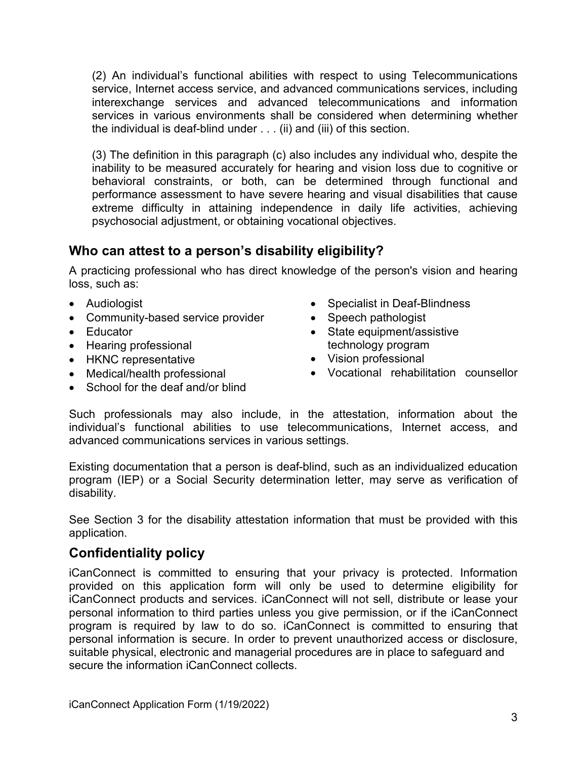(2) An individual's functional abilities with respect to using Telecommunications service, Internet access service, and advanced communications services, including interexchange services and advanced telecommunications and information services in various environments shall be considered when determining whether the individual is deaf-blind under . . . (ii) and (iii) of this section.

(3) The definition in this paragraph (c) also includes any individual who, despite the inability to be measured accurately for hearing and vision loss due to cognitive or behavioral constraints, or both, can be determined through functional and performance assessment to have severe hearing and visual disabilities that cause extreme difficulty in attaining independence in daily life activities, achieving psychosocial adjustment, or obtaining vocational objectives.

# **Who can attest to a person's disability eligibility?**

A practicing professional who has direct knowledge of the person's vision and hearing loss, such as:

- Audiologist
- Community-based service provider
- Educator
- Hearing professional
- HKNC representative
- Medical/health professional
- School for the deaf and/or blind
- Specialist in Deaf-Blindness
- Speech pathologist
- State equipment/assistive technology program
- Vision professional
- Vocational rehabilitation counsellor

Such professionals may also include, in the attestation, information about the individual's functional abilities to use telecommunications, Internet access, and advanced communications services in various settings.

Existing documentation that a person is deaf-blind, such as an individualized education program (IEP) or a Social Security determination letter, may serve as verification of disability.

See Section 3 for the disability attestation information that must be provided with this application.

# **Confidentiality policy**

iCanConnect is committed to ensuring that your privacy is protected. Information provided on this application form will only be used to determine eligibility for iCanConnect products and services. iCanConnect will not sell, distribute or lease your personal information to third parties unless you give permission, or if the iCanConnect program is required by law to do so. iCanConnect is committed to ensuring that personal information is secure. In order to prevent unauthorized access or disclosure, suitable physical, electronic and managerial procedures are in place to safeguard and secure the information iCanConnect collects.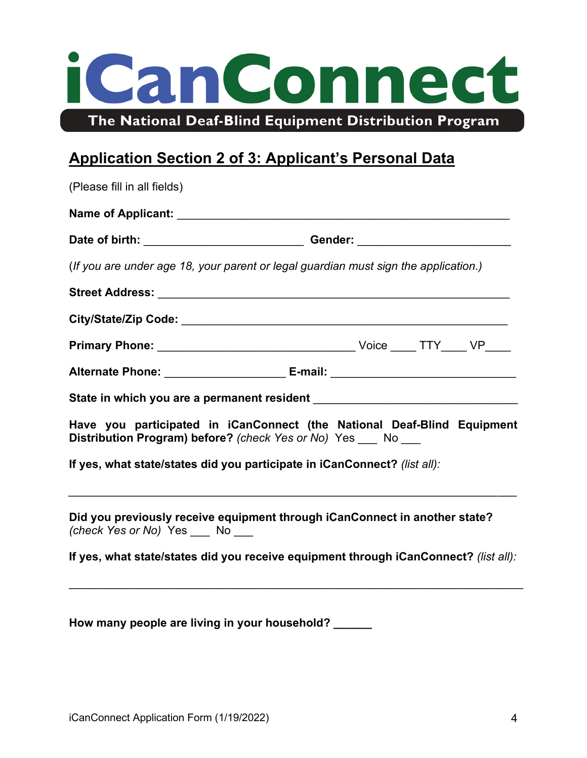# iCanConnect The National Deaf-Blind Equipment Distribution Program

# **Application Section 2 of 3: Applicant's Personal Data**

| (Please fill in all fields)                                               |                                                                                      |  |
|---------------------------------------------------------------------------|--------------------------------------------------------------------------------------|--|
|                                                                           |                                                                                      |  |
|                                                                           | Date of birth: _________________________________Gender: ________________________     |  |
|                                                                           | (If you are under age 18, your parent or legal guardian must sign the application.)  |  |
|                                                                           |                                                                                      |  |
|                                                                           |                                                                                      |  |
|                                                                           |                                                                                      |  |
|                                                                           | Alternate Phone: ___________________________ E-mail: ____________________________    |  |
|                                                                           |                                                                                      |  |
| Distribution Program) before? (check Yes or No) Yes ___ No                | Have you participated in iCanConnect (the National Deaf-Blind Equipment              |  |
| If yes, what state/states did you participate in iCanConnect? (list all): |                                                                                      |  |
| (check Yes or No) Yes ___ No ___                                          | Did you previously receive equipment through iCanConnect in another state?           |  |
|                                                                           | If yes, what state/states did you receive equipment through iCanConnect? (list all): |  |

\_\_\_\_\_\_\_\_\_\_\_\_\_\_\_\_\_\_\_\_\_\_\_\_\_\_\_\_\_\_\_\_\_\_\_\_\_\_\_\_\_\_\_\_\_\_\_\_\_\_\_\_\_\_\_\_\_\_\_\_\_\_\_\_\_\_\_\_\_\_\_

**How many people are living in your household? \_\_\_\_\_\_**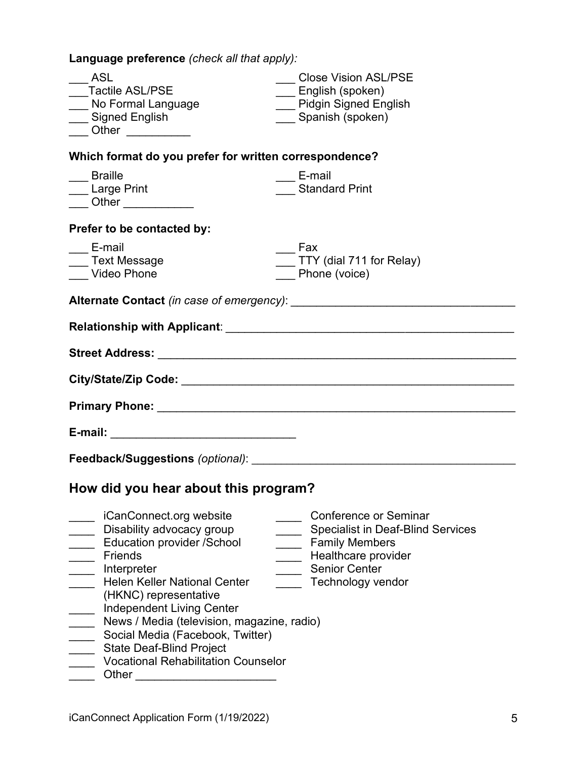**Language preference** *(check all that apply):*

| ASL<br><b>Tactile ASL/PSE</b><br>___ No Formal Language<br>___ Signed English                                                                                                                                                                                                                                                                                                                              | <b>Close Vision ASL/PSE</b><br>___ English (spoken)<br><b>Pidgin Signed English</b><br>Spanish (spoken)                                                               |
|------------------------------------------------------------------------------------------------------------------------------------------------------------------------------------------------------------------------------------------------------------------------------------------------------------------------------------------------------------------------------------------------------------|-----------------------------------------------------------------------------------------------------------------------------------------------------------------------|
| Which format do you prefer for written correspondence?                                                                                                                                                                                                                                                                                                                                                     |                                                                                                                                                                       |
| __ Braille<br>Large Print<br>___ Other _____________                                                                                                                                                                                                                                                                                                                                                       | E-mail<br><b>Standard Print</b>                                                                                                                                       |
| Prefer to be contacted by:                                                                                                                                                                                                                                                                                                                                                                                 |                                                                                                                                                                       |
| E-mail<br>Text Message<br>Video Phone                                                                                                                                                                                                                                                                                                                                                                      | Fax<br>$\_$ TTY (dial 711 for Relay)<br>Phone (voice)                                                                                                                 |
|                                                                                                                                                                                                                                                                                                                                                                                                            |                                                                                                                                                                       |
|                                                                                                                                                                                                                                                                                                                                                                                                            |                                                                                                                                                                       |
|                                                                                                                                                                                                                                                                                                                                                                                                            |                                                                                                                                                                       |
|                                                                                                                                                                                                                                                                                                                                                                                                            |                                                                                                                                                                       |
|                                                                                                                                                                                                                                                                                                                                                                                                            |                                                                                                                                                                       |
|                                                                                                                                                                                                                                                                                                                                                                                                            |                                                                                                                                                                       |
|                                                                                                                                                                                                                                                                                                                                                                                                            |                                                                                                                                                                       |
| How did you hear about this program?                                                                                                                                                                                                                                                                                                                                                                       |                                                                                                                                                                       |
| iCanConnect.org website<br>Disability advocacy group<br><b>Education provider /School</b><br><b>Friends</b><br>Interpreter<br><b>Helen Keller National Center</b><br>(HKNC) representative<br><b>Independent Living Center</b><br>News / Media (television, magazine, radio)<br>Social Media (Facebook, Twitter)<br><b>State Deaf-Blind Project</b><br><b>Vocational Rehabilitation Counselor</b><br>Other | <b>Conference or Seminar</b><br><b>Specialist in Deaf-Blind Services</b><br><b>Family Members</b><br>Healthcare provider<br><b>Senior Center</b><br>Technology vendor |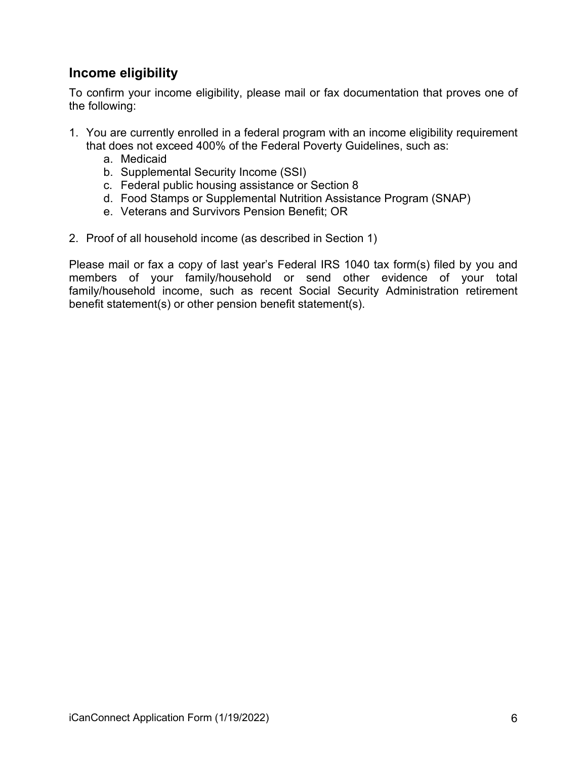# **Income eligibility**

To confirm your income eligibility, please mail or fax documentation that proves one of the following:

- 1. You are currently enrolled in a federal program with an income eligibility requirement that does not exceed 400% of the Federal Poverty Guidelines, such as:
	- a. Medicaid
	- b. Supplemental Security Income (SSI)
	- c. Federal public housing assistance or Section 8
	- d. Food Stamps or Supplemental Nutrition Assistance Program (SNAP)
	- e. Veterans and Survivors Pension Benefit; OR
- 2. Proof of all household income (as described in Section 1)

Please mail or fax a copy of last year's Federal IRS 1040 tax form(s) filed by you and members of your family/household or send other evidence of your total family/household income, such as recent Social Security Administration retirement benefit statement(s) or other pension benefit statement(s).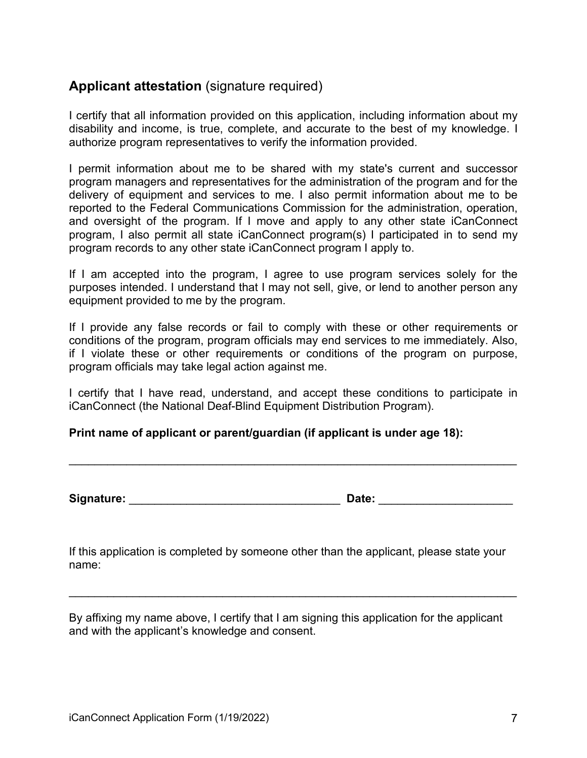## **Applicant attestation** (signature required)

I certify that all information provided on this application, including information about my disability and income, is true, complete, and accurate to the best of my knowledge. I authorize program representatives to verify the information provided.

I permit information about me to be shared with my state's current and successor program managers and representatives for the administration of the program and for the delivery of equipment and services to me. I also permit information about me to be reported to the Federal Communications Commission for the administration, operation, and oversight of the program. If I move and apply to any other state iCanConnect program, I also permit all state iCanConnect program(s) I participated in to send my program records to any other state iCanConnect program I apply to.

If I am accepted into the program, I agree to use program services solely for the purposes intended. I understand that I may not sell, give, or lend to another person any equipment provided to me by the program.

If I provide any false records or fail to comply with these or other requirements or conditions of the program, program officials may end services to me immediately. Also, if I violate these or other requirements or conditions of the program on purpose, program officials may take legal action against me.

I certify that I have read, understand, and accept these conditions to participate in iCanConnect (the National Deaf-Blind Equipment Distribution Program).

\_\_\_\_\_\_\_\_\_\_\_\_\_\_\_\_\_\_\_\_\_\_\_\_\_\_\_\_\_\_\_\_\_\_\_\_\_\_\_\_\_\_\_\_\_\_\_\_\_\_\_\_\_\_\_\_\_\_\_\_\_\_\_\_\_\_\_\_\_\_

#### **Print name of applicant or parent/guardian (if applicant is under age 18):**

**Signature:** \_\_\_\_\_\_\_\_\_\_\_\_\_\_\_\_\_\_\_\_\_\_\_\_\_\_\_\_\_\_\_\_\_ **Date:** \_\_\_\_\_\_\_\_\_\_\_\_\_\_\_\_\_\_\_\_\_

If this application is completed by someone other than the applicant, please state your name:

\_\_\_\_\_\_\_\_\_\_\_\_\_\_\_\_\_\_\_\_\_\_\_\_\_\_\_\_\_\_\_\_\_\_\_\_\_\_\_\_\_\_\_\_\_\_\_\_\_\_\_\_\_\_\_\_\_\_\_\_\_\_\_\_\_\_\_\_\_\_

By affixing my name above, I certify that I am signing this application for the applicant and with the applicant's knowledge and consent.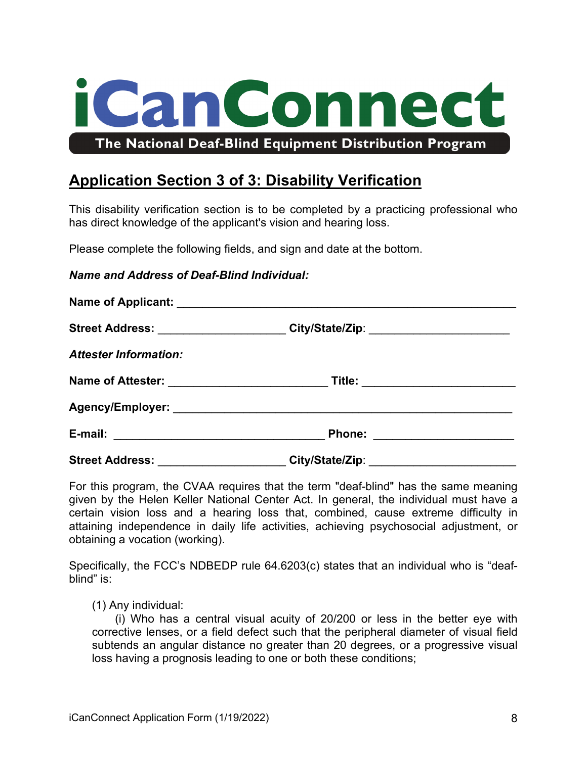

# **Application Section 3 of 3: Disability Verification**

This disability verification section is to be completed by a practicing professional who has direct knowledge of the applicant's vision and hearing loss.

Please complete the following fields, and sign and date at the bottom.

#### *Name and Address of Deaf-Blind Individual:*

|                              | Street Address: _______________________City/State/Zip: _________________________ |  |
|------------------------------|----------------------------------------------------------------------------------|--|
| <b>Attester Information:</b> |                                                                                  |  |
|                              |                                                                                  |  |
|                              |                                                                                  |  |
|                              |                                                                                  |  |
|                              | City/State/Zip: ________________________                                         |  |

For this program, the CVAA requires that the term "deaf-blind" has the same meaning given by the Helen Keller National Center Act. In general, the individual must have a certain vision loss and a hearing loss that, combined, cause extreme difficulty in attaining independence in daily life activities, achieving psychosocial adjustment, or obtaining a vocation (working).

Specifically, the FCC's NDBEDP rule 64.6203(c) states that an individual who is "deafblind" is:

(1) Any individual:

(i) Who has a central visual acuity of 20/200 or less in the better eye with corrective lenses, or a field defect such that the peripheral diameter of visual field subtends an angular distance no greater than 20 degrees, or a progressive visual loss having a prognosis leading to one or both these conditions;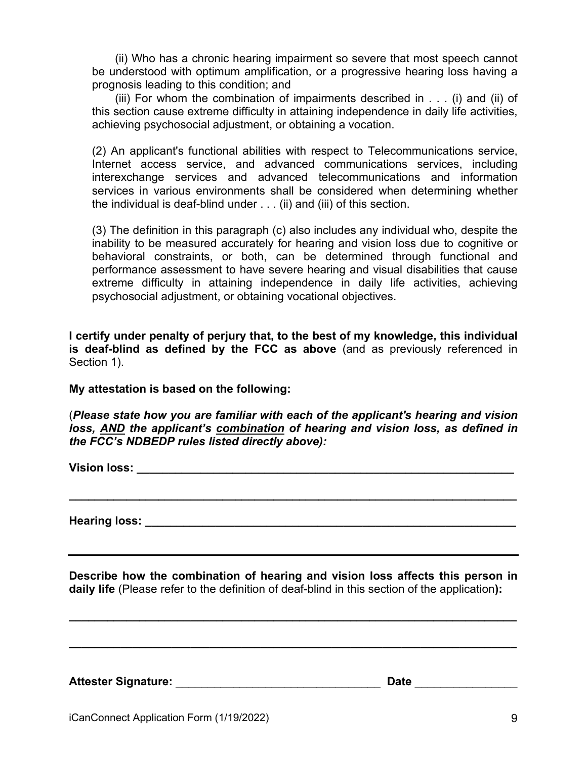(ii) Who has a chronic hearing impairment so severe that most speech cannot be understood with optimum amplification, or a progressive hearing loss having a prognosis leading to this condition; and

(iii) For whom the combination of impairments described in . . . (i) and (ii) of this section cause extreme difficulty in attaining independence in daily life activities, achieving psychosocial adjustment, or obtaining a vocation.

(2) An applicant's functional abilities with respect to Telecommunications service, Internet access service, and advanced communications services, including interexchange services and advanced telecommunications and information services in various environments shall be considered when determining whether the individual is deaf-blind under . . . (ii) and (iii) of this section.

(3) The definition in this paragraph (c) also includes any individual who, despite the inability to be measured accurately for hearing and vision loss due to cognitive or behavioral constraints, or both, can be determined through functional and performance assessment to have severe hearing and visual disabilities that cause extreme difficulty in attaining independence in daily life activities, achieving psychosocial adjustment, or obtaining vocational objectives.

**I certify under penalty of perjury that, to the best of my knowledge, this individual is deaf-blind as defined by the FCC as above** (and as previously referenced in Section 1).

**My attestation is based on the following:** 

(*Please state how you are familiar with each of the applicant's hearing and vision loss, AND the applicant's combination of hearing and vision loss, as defined in the FCC's NDBEDP rules listed directly above):*

**\_\_\_\_\_\_\_\_\_\_\_\_\_\_\_\_\_\_\_\_\_\_\_\_\_\_\_\_\_\_\_\_\_\_\_\_\_\_\_\_\_\_\_\_\_\_\_\_\_\_\_\_\_\_\_\_\_\_\_\_\_\_\_\_\_\_\_\_\_\_**

**Vision loss: \_\_\_\_\_\_\_\_\_\_\_\_\_\_\_\_\_\_\_\_\_\_\_\_\_\_\_\_\_\_\_\_\_\_\_\_\_\_\_\_\_\_\_\_\_\_\_\_\_\_\_\_\_\_\_\_\_\_\_**

**Hearing loss: \_\_\_\_\_\_\_\_\_\_\_\_\_\_\_\_\_\_\_\_\_\_\_\_\_\_\_\_\_\_\_\_\_\_\_\_\_\_\_\_\_\_\_\_\_\_\_\_\_\_\_\_\_\_\_\_\_\_**

**Describe how the combination of hearing and vision loss affects this person in daily life** (Please refer to the definition of deaf-blind in this section of the application**):** 

**\_\_\_\_\_\_\_\_\_\_\_\_\_\_\_\_\_\_\_\_\_\_\_\_\_\_\_\_\_\_\_\_\_\_\_\_\_\_\_\_\_\_\_\_\_\_\_\_\_\_\_\_\_\_\_\_\_\_\_\_\_\_\_\_\_\_\_\_\_\_**

**\_\_\_\_\_\_\_\_\_\_\_\_\_\_\_\_\_\_\_\_\_\_\_\_\_\_\_\_\_\_\_\_\_\_\_\_\_\_\_\_\_\_\_\_\_\_\_\_\_\_\_\_\_\_\_\_\_\_\_\_\_\_\_\_\_\_\_\_\_\_**

**Attester Signature:** \_\_\_\_\_\_\_\_\_\_\_\_\_\_\_\_\_\_\_\_\_\_\_\_\_\_\_\_\_\_\_\_ **Date** \_\_\_\_\_\_\_\_\_\_\_\_\_\_\_\_